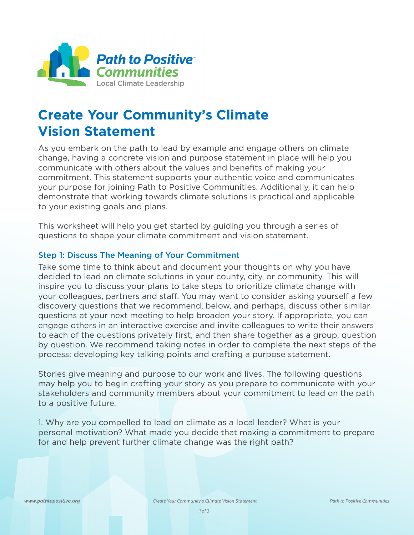

## **Create Your Community's Climate Vision Statement**

As you embark on the path to lead by example and engage others on climate change, having a concrete vision and purpose statement in place will help you communicate with others about the values and benefits of making your commitment. This statement supports your authentic voice and communicates your purpose for joining Path to Positive Communities. Additionally, it can help demonstrate that working towards climate solutions is practical and applicable to your existing goals and plans.

This worksheet will help you get started by guiding you through a series of questions to shape your climate commitment and vision statement.

## Step 1: Discuss The Meaning of Your Commitment

Take some time to think about and document your thoughts on why you have decided to lead on climate solutions in your county, city, or community. This will inspire you to discuss your plans to take steps to prioritize climate change with your colleagues, partners and staff. You may want to consider asking yourself a few discovery questions that we recommend, below, and perhaps, discuss other similar questions at your next meeting to help broaden your story. If appropriate, you can engage others in an interactive exercise and invite colleagues to write their answers to each of the questions privately first, and then share together as a group, question by question. We recommend taking notes in order to complete the next steps of the process: developing key talking points and crafting a purpose statement.

Stories give meaning and purpose to our work and lives. The following questions may help you to begin crafting your story as you prepare to communicate with your stakeholders and community members about your commitment to lead on the path to a positive future.

1. Why are you compelled to lead on climate as a local leader? What is your personal motivation? What made you decide that making a commitment to prepare for and help prevent further climate change was the right path?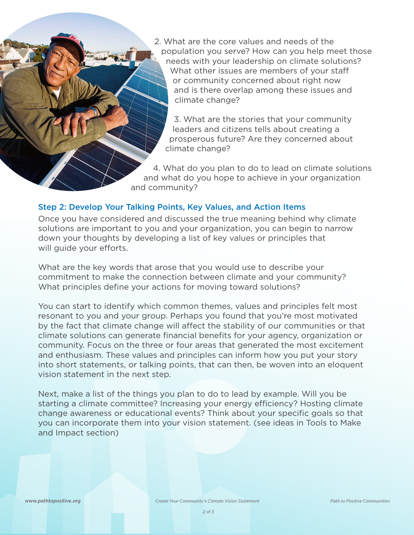2. What are the core values and needs of the population you serve? How can you help meet those needs with your leadership on climate solutions? What other issues are members of your staff or community concerned about right now and is there overlap among these issues and climate change?

3. What are the stories that your community leaders and citizens tells about creating a prosperous future? Are they concerned about climate change?

4. What do you plan to do to lead on climate solutions and what do you hope to achieve in your organization and community?

## Step 2: Develop Your Talking Points, Key Values, and Action Items

Once you have considered and discussed the true meaning behind why climate solutions are important to you and your organization, you can begin to narrow down your thoughts by developing a list of key values or principles that will guide your efforts.

What are the key words that arose that you would use to describe your commitment to make the connection between climate and your community? What principles define your actions for moving toward solutions?

You can start to identify which common themes, values and principles felt most resonant to you and your group. Perhaps you found that you're most motivated by the fact that climate change will affect the stability of our communities or that climate solutions can generate financial benefits for your agency, organization or community. Focus on the three or four areas that generated the most excitement and enthusiasm. These values and principles can inform how you put your story into short statements, or talking points, that can then, be woven into an eloquent vision statement in the next step.

Next, make a list of the things you plan to do to lead by example. Will you be starting a climate committee? Increasing your energy efficiency? Hosting climate change awareness or educational events? Think about your specific goals so that you can incorporate them into your vision statement. (see ideas in Tools to Make and Impact section)

*www.pathtopositive.org*